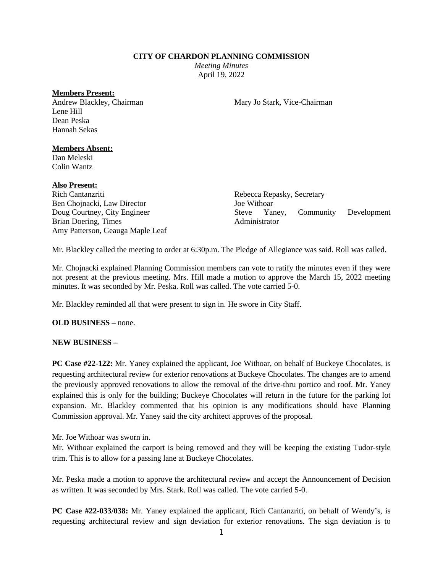#### **CITY OF CHARDON PLANNING COMMISSION**

*Meeting Minutes* April 19, 2022

#### **Members Present:**

Andrew Blackley, Chairman Lene Hill Dean Peska Hannah Sekas

Mary Jo Stark, Vice-Chairman

### **Members Absent:**

Dan Meleski Colin Wantz

#### **Also Present:**

Rich Cantanzriti Ben Chojnacki, Law Director Doug Courtney, City Engineer Brian Doering, Times Amy Patterson, Geauga Maple Leaf

Rebecca Repasky, Secretary Joe Withoar Steve Yaney, Community Development Administrator

Mr. Blackley called the meeting to order at 6:30p.m. The Pledge of Allegiance was said. Roll was called.

Mr. Chojnacki explained Planning Commission members can vote to ratify the minutes even if they were not present at the previous meeting. Mrs. Hill made a motion to approve the March 15, 2022 meeting minutes. It was seconded by Mr. Peska. Roll was called. The vote carried 5-0.

Mr. Blackley reminded all that were present to sign in. He swore in City Staff.

**OLD BUSINESS –** none.

## **NEW BUSINESS –**

**PC Case #22-122:** Mr. Yaney explained the applicant, Joe Withoar, on behalf of Buckeye Chocolates, is requesting architectural review for exterior renovations at Buckeye Chocolates. The changes are to amend the previously approved renovations to allow the removal of the drive-thru portico and roof. Mr. Yaney explained this is only for the building; Buckeye Chocolates will return in the future for the parking lot expansion. Mr. Blackley commented that his opinion is any modifications should have Planning Commission approval. Mr. Yaney said the city architect approves of the proposal.

Mr. Joe Withoar was sworn in.

Mr. Withoar explained the carport is being removed and they will be keeping the existing Tudor-style trim. This is to allow for a passing lane at Buckeye Chocolates.

Mr. Peska made a motion to approve the architectural review and accept the Announcement of Decision as written. It was seconded by Mrs. Stark. Roll was called. The vote carried 5-0.

**PC Case #22-033/038:** Mr. Yaney explained the applicant, Rich Cantanzriti, on behalf of Wendy's, is requesting architectural review and sign deviation for exterior renovations. The sign deviation is to